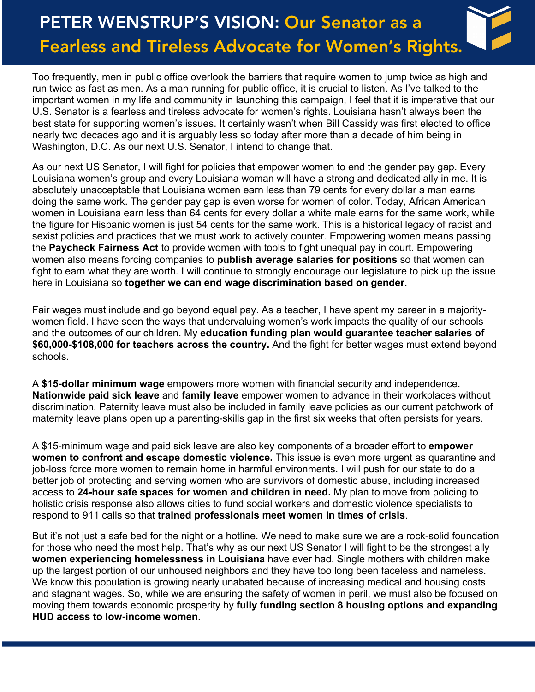Too frequently, men in public office overlook the barriers that require women to jump twice as high and run twice as fast as men. As a man running for public office, it is crucial to listen. As I've talked to the important women in my life and community in launching this campaign, I feel that it is imperative that our U.S. Senator is a fearless and tireless advocate for women's rights. Louisiana hasn't always been the best state for supporting women's issues. It certainly wasn't when Bill Cassidy was first elected to office nearly two decades ago and it is arguably less so today after more than a decade of him being in Washington, D.C. As our next U.S. Senator, I intend to change that.

As our next US Senator, I will fight for policies that empower women to end the gender pay gap. Every Louisiana women's group and every Louisiana woman will have a strong and dedicated ally in me. It is absolutely unacceptable that Louisiana women earn less than 79 cents for every dollar a man earns doing the same work. The gender pay gap is even worse for women of color. Today, African American women in Louisiana earn less than 64 cents for every dollar a white male earns for the same work, while the figure for Hispanic women is just 54 cents for the same work. This is a historical legacy of racist and sexist policies and practices that we must work to actively counter. Empowering women means passing the **Paycheck Fairness Act** to provide women with tools to fight unequal pay in court. Empowering women also means forcing companies to **publish average salaries for positions** so that women can fight to earn what they are worth. I will continue to strongly encourage our legislature to pick up the issue here in Louisiana so **together we can end wage discrimination based on gender**.

Fair wages must include and go beyond equal pay. As a teacher, I have spent my career in a majoritywomen field. I have seen the ways that undervaluing women's work impacts the quality of our schools and the outcomes of our children. My **education funding plan would guarantee teacher salaries of \$60,000-\$108,000 for teachers across the country.** And the fight for better wages must extend beyond schools.

A **\$15-dollar minimum wage** empowers more women with financial security and independence. **Nationwide paid sick leave** and **family leave** empower women to advance in their workplaces without discrimination. Paternity leave must also be included in family leave policies as our current patchwork of maternity leave plans open up a parenting-skills gap in the first six weeks that often persists for years.

A \$15-minimum wage and paid sick leave are also key components of a broader effort to **empower women to confront and escape domestic violence.** This issue is even more urgent as quarantine and job-loss force more women to remain home in harmful environments. I will push for our state to do a better job of protecting and serving women who are survivors of domestic abuse, including increased access to **24-hour safe spaces for women and children in need.** My plan to move from policing to holistic crisis response also allows cities to fund social workers and domestic violence specialists to respond to 911 calls so that **trained professionals meet women in times of crisis**.

But it's not just a safe bed for the night or a hotline. We need to make sure we are a rock-solid foundation for those who need the most help. That's why as our next US Senator I will fight to be the strongest ally **women experiencing homelessness in Louisiana** have ever had. Single mothers with children make up the largest portion of our unhoused neighbors and they have too long been faceless and nameless. We know this population is growing nearly unabated because of increasing medical and housing costs and stagnant wages. So, while we are ensuring the safety of women in peril, we must also be focused on moving them towards economic prosperity by **fully funding section 8 housing options and expanding HUD access to low-income women.**